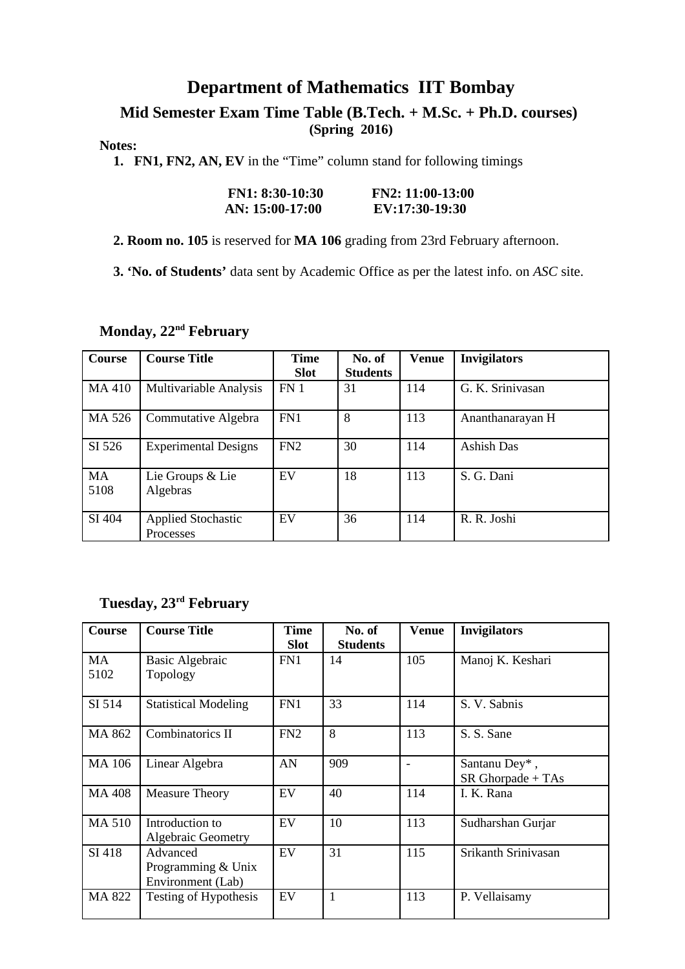### **Department of Mathematics IIT Bombay**

#### **Mid Semester Exam Time Table (B.Tech. + M.Sc. + Ph.D. courses) (Spring 2016)**

#### **Notes:**

 **1. FN1, FN2, AN, EV** in the "Time" column stand for following timings

| <b>FN1: 8:30-10:30</b> | $FN2: 11:00-13:00$ |
|------------------------|--------------------|
| AN: 15:00-17:00        | EV:17:30-19:30     |

 **2. Room no. 105** is reserved for **MA 106** grading from 23rd February afternoon.

 **3. 'No. of Students'** data sent by Academic Office as per the latest info. on *ASC* site.

#### **Monday, 22nd February**

| Course | <b>Course Title</b>           | <b>Time</b><br><b>Slot</b> | No. of<br><b>Students</b> | <b>Venue</b> | <b>Invigilators</b> |
|--------|-------------------------------|----------------------------|---------------------------|--------------|---------------------|
|        |                               |                            |                           |              |                     |
| MA 410 | <b>Multivariable Analysis</b> | FN <sub>1</sub>            | 31                        | 114          | G. K. Sriniyasan    |
|        |                               |                            |                           |              |                     |
| MA 526 | Commutative Algebra           | FN1                        | 8                         | 113          | Ananthanarayan H    |
|        |                               |                            |                           |              |                     |
| SI 526 | <b>Experimental Designs</b>   | FN2                        | 30                        | 114          | Ashish Das          |
|        |                               |                            |                           |              |                     |
| MA     | Lie Groups & Lie              | EV                         | 18                        | 113          | S. G. Dani          |
| 5108   | Algebras                      |                            |                           |              |                     |
|        |                               |                            |                           |              |                     |
| SI 404 | <b>Applied Stochastic</b>     | <b>FV</b>                  | 36                        | 114          | R. R. Joshi         |
|        | Processes                     |                            |                           |              |                     |

### **Tuesday, 23rd February**

| <b>Course</b> | <b>Course Title</b>                                 | Time<br><b>Slot</b> | No. of<br><b>Students</b> | <b>Venue</b> | <b>Invigilators</b>                |
|---------------|-----------------------------------------------------|---------------------|---------------------------|--------------|------------------------------------|
| MA<br>5102    | <b>Basic Algebraic</b><br>Topology                  | FN1                 | 14                        | 105          | Manoj K. Keshari                   |
| SI 514        | <b>Statistical Modeling</b>                         | FN1                 | 33                        | 114          | S. V. Sabnis                       |
| MA 862        | Combinatorics II                                    | FN2                 | 8                         | 113          | S. S. Sane                         |
| <b>MA 106</b> | Linear Algebra                                      | AN                  | 909                       |              | Santanu Dey*,<br>SR Ghorpade + TAs |
| <b>MA 408</b> | <b>Measure Theory</b>                               | EV                  | 40                        | 114          | I. K. Rana                         |
| <b>MA 510</b> | Introduction to<br><b>Algebraic Geometry</b>        | EV                  | 10                        | 113          | Sudharshan Gurjar                  |
| SI 418        | Advanced<br>Programming & Unix<br>Environment (Lab) | EV                  | 31                        | 115          | Srikanth Srinivasan                |
| MA 822        | Testing of Hypothesis                               | EV                  | $\mathbf{1}$              | 113          | P. Vellaisamy                      |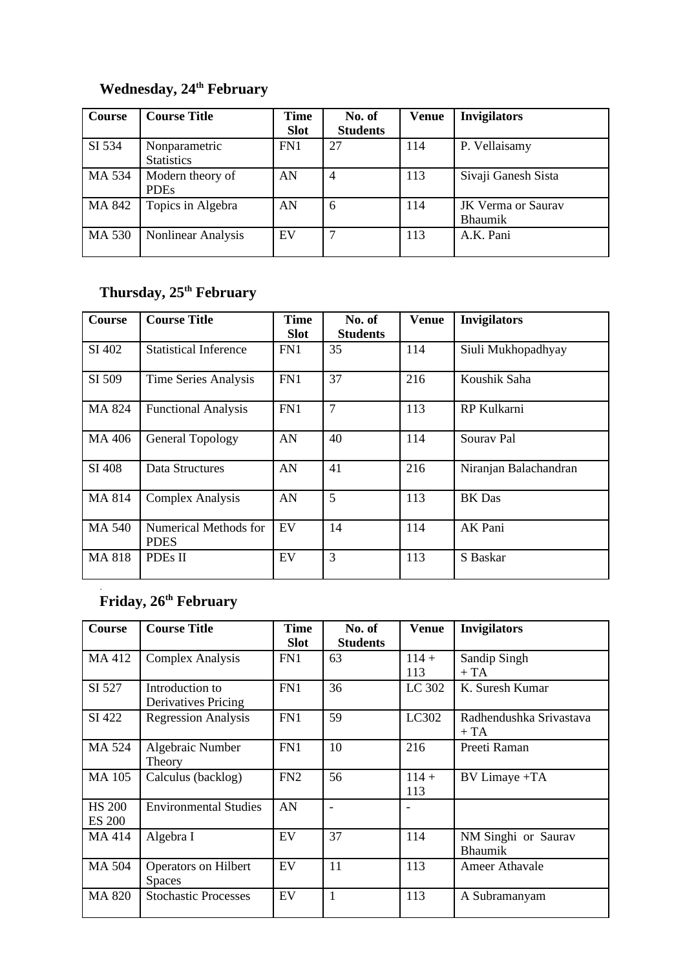## **Wednesday, 24th February**

| Course | <b>Course Title</b>                | Time<br><b>Slot</b> | No. of<br><b>Students</b> | Venue | <b>Invigilators</b>                  |
|--------|------------------------------------|---------------------|---------------------------|-------|--------------------------------------|
| SI 534 | Nonparametric<br><b>Statistics</b> | FN <sub>1</sub>     | 27                        | 114   | P. Vellaisamy                        |
| MA 534 | Modern theory of<br><b>PDEs</b>    | AN                  | 4                         | 113   | Sivaji Ganesh Sista                  |
| MA 842 | Topics in Algebra                  | AN                  | 6                         | 114   | JK Verma or Saurav<br><b>Bhaumik</b> |
| MA 530 | <b>Nonlinear Analysis</b>          | EV                  | 7                         | 113   | A.K. Pani                            |

### **Thursday, 25th February**

| Course        | <b>Course Title</b>                  | Time<br><b>Slot</b> | No. of<br><b>Students</b> | <b>Venue</b> | <b>Invigilators</b>   |
|---------------|--------------------------------------|---------------------|---------------------------|--------------|-----------------------|
| SI 402        | <b>Statistical Inference</b>         | FN1                 | 35                        | 114          | Siuli Mukhopadhyay    |
| SI 509        | <b>Time Series Analysis</b>          | FN1                 | 37                        | 216          | Koushik Saha          |
| MA 824        | <b>Functional Analysis</b>           | FN1                 | 7                         | 113          | RP Kulkarni           |
| MA 406        | <b>General Topology</b>              | AN                  | 40                        | 114          | Sourav Pal            |
| SI 408        | Data Structures                      | AN                  | 41                        | 216          | Niranjan Balachandran |
| MA 814        | <b>Complex Analysis</b>              | AN                  | 5                         | 113          | <b>BK</b> Das         |
| <b>MA 540</b> | Numerical Methods for<br><b>PDES</b> | EV                  | 14                        | 114          | AK Pani               |
| MA 818        | PDEs II                              | EV                  | 3                         | 113          | S Baskar              |

#### **Friday, 26th February**

.

| Course                         | <b>Course Title</b>                           | Time<br><b>Slot</b> | No. of<br><b>Students</b> | Venue          | <b>Invigilators</b>                   |
|--------------------------------|-----------------------------------------------|---------------------|---------------------------|----------------|---------------------------------------|
| MA 412                         | <b>Complex Analysis</b>                       | FN1                 | 63                        | $114 +$<br>113 | Sandip Singh<br>$+ TA$                |
| SI 527                         | Introduction to<br><b>Derivatives Pricing</b> | FN1                 | 36                        | LC 302         | K. Suresh Kumar                       |
| SI 422                         | <b>Regression Analysis</b>                    | FN1                 | 59                        | LC302          | Radhendushka Srivastava<br>+ TA       |
| MA 524                         | Algebraic Number<br>Theory                    | FN1                 | 10                        | 216            | Preeti Raman                          |
| <b>MA 105</b>                  | Calculus (backlog)                            | FN2                 | 56                        | $114 +$<br>113 | BV Limaye +TA                         |
| <b>HS 200</b><br><b>ES 200</b> | <b>Environmental Studies</b>                  | AN                  |                           |                |                                       |
| MA 414                         | Algebra I                                     | EV                  | 37                        | 114            | NM Singhi or Saurav<br><b>Bhaumik</b> |
| <b>MA 504</b>                  | <b>Operators on Hilbert</b><br><b>Spaces</b>  | EV                  | 11                        | 113            | <b>Ameer Athavale</b>                 |
| <b>MA 820</b>                  | <b>Stochastic Processes</b>                   | EV                  | $\mathbf{1}$              | 113            | A Subramanyam                         |